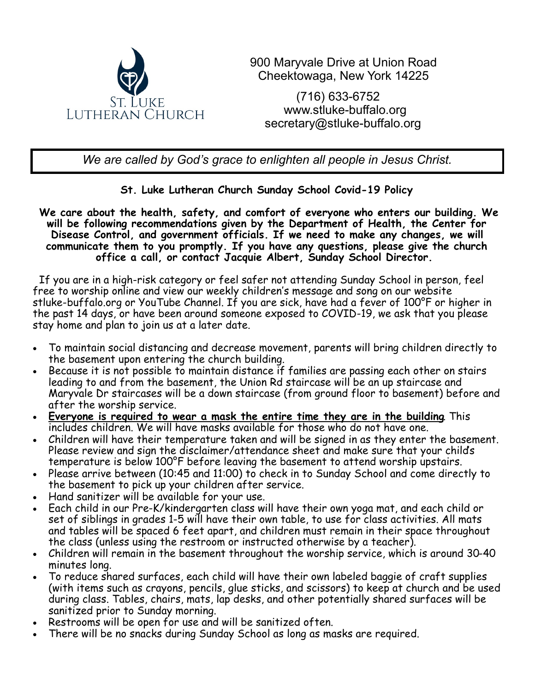

900 Maryvale Drive at Union Road Cheektowaga, New York 14225

(716) 633-6752 [www.stluke](http://www.stluke-buffalo.org)-buffalo.org secretary@stluke-buffalo.org

*We are called by God's grace to enlighten all people in Jesus Christ.*

## **St. Luke Lutheran Church Sunday School Covid-19 Policy**

**We care about the health, safety, and comfort of everyone who enters our building. We will be following recommendations given by the Department of Health, the Center for Disease Control, and government officials. If we need to make any changes, we will communicate them to you promptly. If you have any questions, please give the church office a call, or contact Jacquie Albert, Sunday School Director.**

 If you are in a high-risk category or feel safer not attending Sunday School in person, feel free to worship online and view our weekly children's message and song on our website stluke-buffalo.org or YouTube Channe[l. I](https://www.youtube.com/c/stlukelutheranbuffalo)f you are sick, have had a fever of 100°F or higher in the past 14 days, or have been around someone exposed to COVID-19, we ask that you please stay home and plan to join us at a later date.

- To maintain social distancing and decrease movement, parents will bring children directly to the basement upon entering the church building.
- Because it is not possible to maintain distance if families are passing each other on stairs leading to and from the basement, the Union Rd staircase will be an up staircase and Maryvale Dr staircases will be a down staircase (from ground floor to basement) before and after the worship service.
- **Everyone is required to wear a mask the entire time they are in the building**. This includes children. We will have masks available for those who do not have one.
- Children will have their temperature taken and will be signed in as they enter the basement. Please review and sign the disclaimer/attendance sheet and make sure that your child's temperature is below 100°F before leaving the basement to attend worship upstairs.
- Please arrive between (10:45 and 11:00) to check in to Sunday School and come directly to the basement to pick up your children after service.
- Hand sanitizer will be available for your use.
- Each child in our Pre-K/kindergarten class will have their own yoga mat, and each child or set of siblings in grades 1-5 will have their own table, to use for class activities. All mats and tables will be spaced 6 feet apart, and children must remain in their space throughout the class (unless using the restroom or instructed otherwise by a teacher).
- Children will remain in the basement throughout the worship service, which is around 30-40 minutes long.
- To reduce shared surfaces, each child will have their own labeled baggie of craft supplies (with items such as crayons, pencils, glue sticks, and scissors) to keep at church and be used during class. Tables, chairs, mats, lap desks, and other potentially shared surfaces will be sanitized prior to Sunday morning.
- Restrooms will be open for use and will be sanitized often.
- There will be no snacks during Sunday School as long as masks are required.